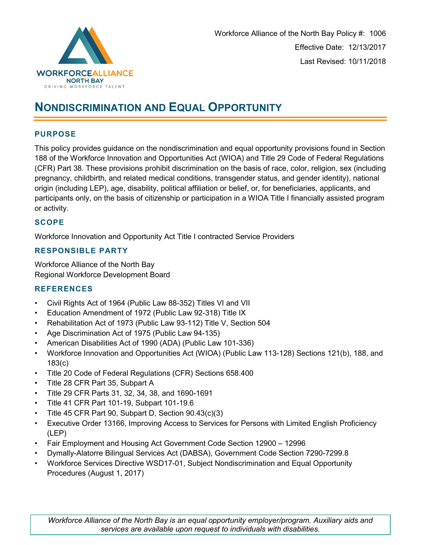

# **NONDISCRIMINATION AND EQUAL OPPORTUNITY**

# **PURPOSE**

This policy provides guidance on the nondiscrimination and equal opportunity provisions found in Section 188 of the Workforce Innovation and Opportunities Act (WIOA) and Title 29 Code of Federal Regulations (CFR) Part 38. These provisions prohibit discrimination on the basis of race, color, religion, sex (including pregnancy, childbirth, and related medical conditions, transgender status, and gender identity), national origin (including LEP), age, disability, political affiliation or belief, or, for beneficiaries, applicants, and participants only, on the basis of citizenship or participation in a WIOA Title I financially assisted program or activity.

## **SCOPE**

Workforce Innovation and Opportunity Act Title I contracted Service Providers

# **RESPONSIBLE PARTY**

Workforce Alliance of the North Bay Regional Workforce Development Board

# **REFERENCES**

- Civil Rights Act of 1964 (Public Law 88-352) Titles VI and VII
- Education Amendment of 1972 (Public Law 92-318) Title IX
- Rehabilitation Act of 1973 (Public Law 93-112) Title V, Section 504
- Age Discrimination Act of 1975 (Public Law 94-135)
- American Disabilities Act of 1990 (ADA) (Public Law 101-336)
- Workforce Innovation and Opportunities Act (WIOA) (Public Law 113-128) Sections 121(b), 188, and 183(c)
- Title 20 Code of Federal Regulations (CFR) Sections 658.400
- Title 28 CFR Part 35, Subpart A
- Title 29 CFR Parts 31, 32, 34, 38, and 1690-1691
- Title 41 CFR Part 101-19, Subpart 101-19.6
- Title 45 CFR Part 90, Subpart D, Section 90.43(c)(3)
- Executive Order 13166, Improving Access to Services for Persons with Limited English Proficiency (LEP)
- Fair Employment and Housing Act Government Code Section 12900 12996
- Dymally-Alatorre Bilingual Services Act (DABSA), Government Code Section 7290-7299.8
- Workforce Services Directive WSD17-01, Subject Nondiscrimination and Equal Opportunity Procedures (August 1, 2017)

*Workforce Alliance of the North Bay is an equal opportunity employer/program. Auxiliary aids and services are available upon request to individuals with disabilities.*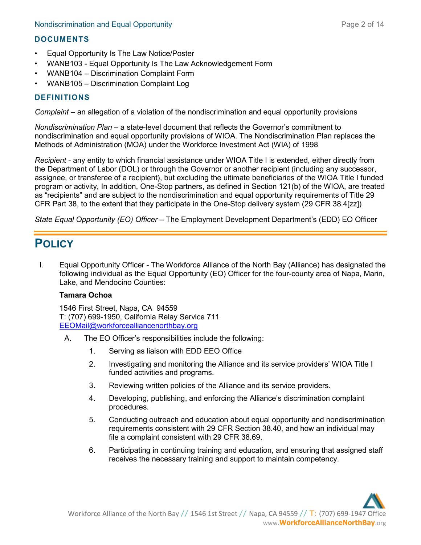# **DOCUMENTS**

- Equal Opportunity Is The Law Notice/Poster
- WANB103 Equal Opportunity Is The Law Acknowledgement Form
- WANB104 Discrimination Complaint Form
- WANB105 Discrimination Complaint Log

## **DEFINITIONS**

*Complaint –* an allegation of a violation of the nondiscrimination and equal opportunity provisions

*Nondiscrimination Plan –* a state-level document that reflects the Governor's commitment to nondiscrimination and equal opportunity provisions of WIOA. The Nondiscrimination Plan replaces the Methods of Administration (MOA) under the Workforce Investment Act (WIA) of 1998

*Recipient* - any entity to which financial assistance under WIOA Title I is extended, either directly from the Department of Labor (DOL) or through the Governor or another recipient (including any successor, assignee, or transferee of a recipient), but excluding the ultimate beneficiaries of the WIOA Title I funded program or activity, In addition, One-Stop partners, as defined in Section 121(b) of the WIOA, are treated as "recipients" and are subject to the nondiscrimination and equal opportunity requirements of Title 29 CFR Part 38, to the extent that they participate in the One-Stop delivery system (29 CFR 38.4[zz])

*State Equal Opportunity (EO) Officer* – The Employment Development Department's (EDD) EO Officer

# **POLICY**

I. Equal Opportunity Officer - The Workforce Alliance of the North Bay (Alliance) has designated the following individual as the Equal Opportunity (EO) Officer for the four-county area of Napa, Marin, Lake, and Mendocino Counties:

## **Tamara Ochoa**

1546 First Street, Napa, CA 94559 T: (707) 699-1950, California Relay Service 711 [EEOMail@workforcealliancenorthbay.org](mailto:EEOMail@workforcealliancenorthbay.org)

- A. The EO Officer's responsibilities include the following:
	- 1. Serving as liaison with EDD EEO Office
	- 2. Investigating and monitoring the Alliance and its service providers' WIOA Title I funded activities and programs.
	- 3. Reviewing written policies of the Alliance and its service providers.
	- 4. Developing, publishing, and enforcing the Alliance's discrimination complaint procedures.
	- 5. Conducting outreach and education about equal opportunity and nondiscrimination requirements consistent with 29 CFR Section 38.40, and how an individual may file a complaint consistent with 29 CFR 38.69.
	- 6. Participating in continuing training and education, and ensuring that assigned staff receives the necessary training and support to maintain competency.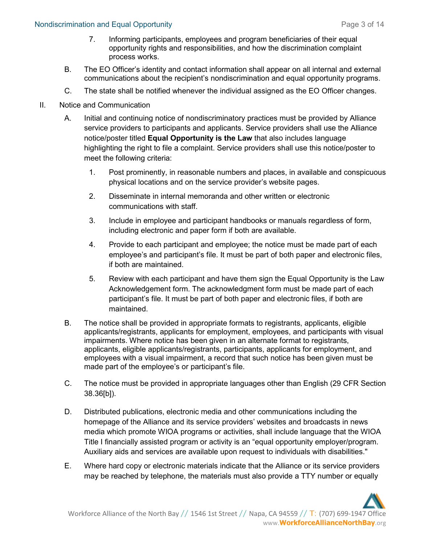## Nondiscrimination and Equal Opportunity **Page 3 of 14** and the state of the state of the Page 3 of 14

- 7. Informing participants, employees and program beneficiaries of their equal opportunity rights and responsibilities, and how the discrimination complaint process works.
- B. The EO Officer's identity and contact information shall appear on all internal and external communications about the recipient's nondiscrimination and equal opportunity programs.
- C. The state shall be notified whenever the individual assigned as the EO Officer changes.
- II. Notice and Communication
	- A. Initial and continuing notice of nondiscriminatory practices must be provided by Alliance service providers to participants and applicants. Service providers shall use the Alliance notice/poster titled **Equal Opportunity is the Law** that also includes language highlighting the right to file a complaint. Service providers shall use this notice/poster to meet the following criteria:
		- 1. Post prominently, in reasonable numbers and places, in available and conspicuous physical locations and on the service provider's website pages.
		- 2. Disseminate in internal memoranda and other written or electronic communications with staff.
		- 3. Include in employee and participant handbooks or manuals regardless of form, including electronic and paper form if both are available.
		- 4. Provide to each participant and employee; the notice must be made part of each employee's and participant's file. It must be part of both paper and electronic files, if both are maintained.
		- 5. Review with each participant and have them sign the Equal Opportunity is the Law Acknowledgement form. The acknowledgment form must be made part of each participant's file. It must be part of both paper and electronic files, if both are maintained.
	- B. The notice shall be provided in appropriate formats to registrants, applicants, eligible applicants/registrants, applicants for employment, employees, and participants with visual impairments. Where notice has been given in an alternate format to registrants, applicants, eligible applicants/registrants, participants, applicants for employment, and employees with a visual impairment, a record that such notice has been given must be made part of the employee's or participant's file.
	- C. The notice must be provided in appropriate languages other than English (29 CFR Section 38.36[b]).
	- D. Distributed publications, electronic media and other communications including the homepage of the Alliance and its service providers' websites and broadcasts in news media which promote WIOA programs or activities, shall include language that the WIOA Title I financially assisted program or activity is an "equal opportunity employer/program. Auxiliary aids and services are available upon request to individuals with disabilities."
	- E. Where hard copy or electronic materials indicate that the Alliance or its service providers may be reached by telephone, the materials must also provide a TTY number or equally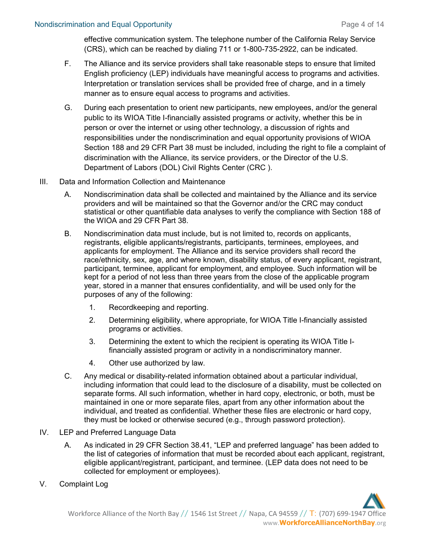effective communication system. The telephone number of the California Relay Service (CRS), which can be reached by dialing 711 or 1-800-735-2922, can be indicated.

- F. The Alliance and its service providers shall take reasonable steps to ensure that limited English proficiency (LEP) individuals have meaningful access to programs and activities. Interpretation or translation services shall be provided free of charge, and in a timely manner as to ensure equal access to programs and activities.
- G. During each presentation to orient new participants, new employees, and/or the general public to its WIOA Title I-financially assisted programs or activity, whether this be in person or over the internet or using other technology, a discussion of rights and responsibilities under the nondiscrimination and equal opportunity provisions of WIOA Section 188 and 29 CFR Part 38 must be included, including the right to file a complaint of discrimination with the Alliance, its service providers, or the Director of the U.S. Department of Labors (DOL) Civil Rights Center (CRC ).
- III. Data and Information Collection and Maintenance
	- A. Nondiscrimination data shall be collected and maintained by the Alliance and its service providers and will be maintained so that the Governor and/or the CRC may conduct statistical or other quantifiable data analyses to verify the compliance with Section 188 of the WIOA and 29 CFR Part 38.
	- B. Nondiscrimination data must include, but is not limited to, records on applicants, registrants, eligible applicants/registrants, participants, terminees, employees, and applicants for employment. The Alliance and its service providers shall record the race/ethnicity, sex, age, and where known, disability status, of every applicant, registrant, participant, terminee, applicant for employment, and employee. Such information will be kept for a period of not less than three years from the close of the applicable program year, stored in a manner that ensures confidentiality, and will be used only for the purposes of any of the following:
		- 1. Recordkeeping and reporting.
		- 2. Determining eligibility, where appropriate, for WIOA Title I-financially assisted programs or activities.
		- 3. Determining the extent to which the recipient is operating its WIOA Title Ifinancially assisted program or activity in a nondiscriminatory manner.
		- 4. Other use authorized by law.
	- C. Any medical or disability-related information obtained about a particular individual, including information that could lead to the disclosure of a disability, must be collected on separate forms. All such information, whether in hard copy, electronic, or both, must be maintained in one or more separate files, apart from any other information about the individual, and treated as confidential. Whether these files are electronic or hard copy, they must be locked or otherwise secured (e.g., through password protection).
- IV. LEP and Preferred Language Data
	- A. As indicated in 29 CFR Section 38.41, "LEP and preferred language" has been added to the list of categories of information that must be recorded about each applicant, registrant, eligible applicant/registrant, participant, and terminee. (LEP data does not need to be collected for employment or employees).
- V. Complaint Log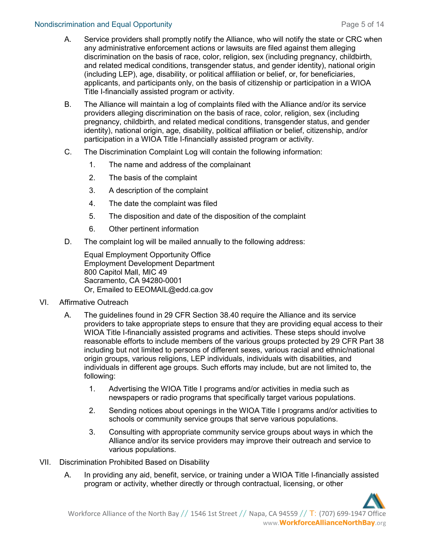# Nondiscrimination and Equal Opportunity **Page 5 of 14** and 14 and 14 and 15 and 16 and 16 and 16 and 16 and 16 and 16 and 16 and 16 and 16 and 16 and 16 and 16 and 16 and 16 and 16 and 16 and 16 and 16 and 16 and 16 and 16

- A. Service providers shall promptly notify the Alliance, who will notify the state or CRC when any administrative enforcement actions or lawsuits are filed against them alleging discrimination on the basis of race, color, religion, sex (including pregnancy, childbirth, and related medical conditions, transgender status, and gender identity), national origin (including LEP), age, disability, or political affiliation or belief, or, for beneficiaries, applicants, and participants only, on the basis of citizenship or participation in a WIOA Title I-financially assisted program or activity.
- B. The Alliance will maintain a log of complaints filed with the Alliance and/or its service providers alleging discrimination on the basis of race, color, religion, sex (including pregnancy, childbirth, and related medical conditions, transgender status, and gender identity), national origin, age, disability, political affiliation or belief, citizenship, and/or participation in a WIOA Title I-financially assisted program or activity.
- C. The Discrimination Complaint Log will contain the following information:
	- 1. The name and address of the complainant
	- 2. The basis of the complaint
	- 3. A description of the complaint
	- 4. The date the complaint was filed
	- 5. The disposition and date of the disposition of the complaint
	- 6. Other pertinent information
- D. The complaint log will be mailed annually to the following address:

Equal Employment Opportunity Office Employment Development Department 800 Capitol Mall, MIC 49 Sacramento, CA 94280-0001 Or, Emailed to EEOMAIL@edd.ca.gov

#### VI. Affirmative Outreach

- A. The guidelines found in 29 CFR Section 38.40 require the Alliance and its service providers to take appropriate steps to ensure that they are providing equal access to their WIOA Title I-financially assisted programs and activities. These steps should involve reasonable efforts to include members of the various groups protected by 29 CFR Part 38 including but not limited to persons of different sexes, various racial and ethnic/national origin groups, various religions, LEP individuals, individuals with disabilities, and individuals in different age groups. Such efforts may include, but are not limited to, the following:
	- 1. Advertising the WIOA Title I programs and/or activities in media such as newspapers or radio programs that specifically target various populations.
	- 2. Sending notices about openings in the WIOA Title I programs and/or activities to schools or community service groups that serve various populations.
	- 3. Consulting with appropriate community service groups about ways in which the Alliance and/or its service providers may improve their outreach and service to various populations.
- VII. Discrimination Prohibited Based on Disability
	- A. In providing any aid, benefit, service, or training under a WIOA Title I-financially assisted program or activity, whether directly or through contractual, licensing, or other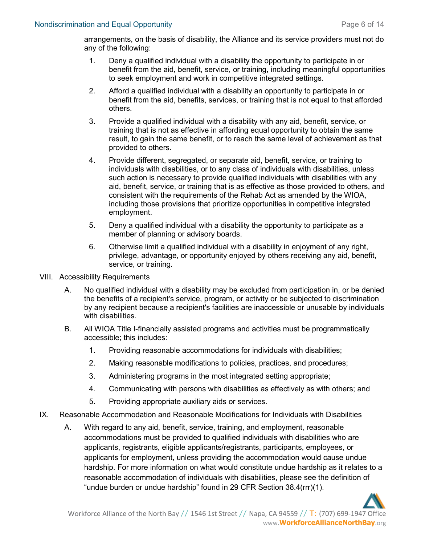arrangements, on the basis of disability, the Alliance and its service providers must not do any of the following:

- 1. Deny a qualified individual with a disability the opportunity to participate in or benefit from the aid, benefit, service, or training, including meaningful opportunities to seek employment and work in competitive integrated settings.
- 2. Afford a qualified individual with a disability an opportunity to participate in or benefit from the aid, benefits, services, or training that is not equal to that afforded others.
- 3. Provide a qualified individual with a disability with any aid, benefit, service, or training that is not as effective in affording equal opportunity to obtain the same result, to gain the same benefit, or to reach the same level of achievement as that provided to others.
- 4. Provide different, segregated, or separate aid, benefit, service, or training to individuals with disabilities, or to any class of individuals with disabilities, unless such action is necessary to provide qualified individuals with disabilities with any aid, benefit, service, or training that is as effective as those provided to others, and consistent with the requirements of the Rehab Act as amended by the WIOA, including those provisions that prioritize opportunities in competitive integrated employment.
- 5. Deny a qualified individual with a disability the opportunity to participate as a member of planning or advisory boards.
- 6. Otherwise limit a qualified individual with a disability in enjoyment of any right, privilege, advantage, or opportunity enjoyed by others receiving any aid, benefit, service, or training.
- VIII. Accessibility Requirements
	- A. No qualified individual with a disability may be excluded from participation in, or be denied the benefits of a recipient's service, program, or activity or be subjected to discrimination by any recipient because a recipient's facilities are inaccessible or unusable by individuals with disabilities.
	- B. All WIOA Title I-financially assisted programs and activities must be programmatically accessible; this includes:
		- 1. Providing reasonable accommodations for individuals with disabilities;
		- 2. Making reasonable modifications to policies, practices, and procedures;
		- 3. Administering programs in the most integrated setting appropriate;
		- 4. Communicating with persons with disabilities as effectively as with others; and
		- 5. Providing appropriate auxiliary aids or services.
- IX. Reasonable Accommodation and Reasonable Modifications for Individuals with Disabilities
	- A. With regard to any aid, benefit, service, training, and employment, reasonable accommodations must be provided to qualified individuals with disabilities who are applicants, registrants, eligible applicants/registrants, participants, employees, or applicants for employment, unless providing the accommodation would cause undue hardship. For more information on what would constitute undue hardship as it relates to a reasonable accommodation of individuals with disabilities, please see the definition of "undue burden or undue hardship" found in 29 CFR Section 38.4(rrr)(1).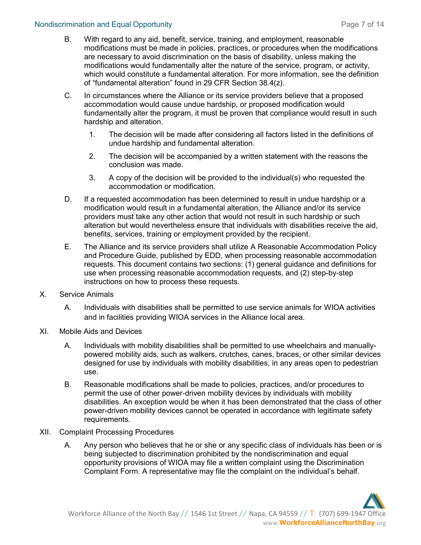#### Nondiscrimination and Equal Opportunity **Page 7 of 14** and the state of 14 and the state Page 7 of 14

- B. With regard to any aid, benefit, service, training, and employment, reasonable modifications must be made in policies, practices, or procedures when the modifications are necessary to avoid discrimination on the basis of disability, unless making the modifications would fundamentally alter the nature of the service, program, or activity, which would constitute a fundamental alteration. For more information, see the definition of "fundamental alteration" found in 29 CFR Section 38.4(z).
- C. In circumstances where the Alliance or its service providers believe that a proposed accommodation would cause undue hardship, or proposed modification would fundamentally alter the program, it must be proven that compliance would result in such hardship and alteration.
	- 1. The decision will be made after considering all factors listed in the definitions of undue hardship and fundamental alteration.
	- 2. The decision will be accompanied by a written statement with the reasons the conclusion was made.
	- 3. A copy of the decision will be provided to the individual(s) who requested the accommodation or modification.
- D. If a requested accommodation has been determined to result in undue hardship or a modification would result in a fundamental alteration, the Alliance and/or its service providers must take any other action that would not result in such hardship or such alteration but would nevertheless ensure that individuals with disabilities receive the aid, benefits, services, training or employment provided by the recipient.
- E. The Alliance and its service providers shall utilize A Reasonable Accommodation Policy and Procedure Guide, published by EDD, when processing reasonable accommodation requests. This document contains two sections: (1) general guidance and definitions for use when processing reasonable accommodation requests, and (2) step-by-step instructions on how to process these requests.
- X. Service Animals
	- A. Individuals with disabilities shall be permitted to use service animals for WIOA activities and in facilities providing WIOA services in the Alliance local area.
- XI. Mobile Aids and Devices
	- A. Individuals with mobility disabilities shall be permitted to use wheelchairs and manuallypowered mobility aids, such as walkers, crutches, canes, braces, or other similar devices designed for use by individuals with mobility disabilities, in any areas open to pedestrian use.
	- B. Reasonable modifications shall be made to policies, practices, and/or procedures to permit the use of other power-driven mobility devices by individuals with mobility disabilities. An exception would be when it has been demonstrated that the class of other power-driven mobility devices cannot be operated in accordance with legitimate safety requirements.
- XII. Complaint Processing Procedures
	- A. Any person who believes that he or she or any specific class of individuals has been or is being subjected to discrimination prohibited by the nondiscrimination and equal opportunity provisions of WIOA may file a written complaint using the Discrimination Complaint Form. A representative may file the complaint on the individual's behalf.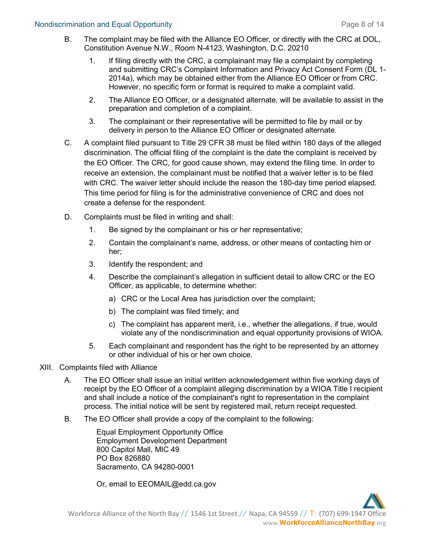#### Nondiscrimination and Equal Opportunity **Page 8 of 14** and 14 and 14 and 14 and 14 and 14 and 14 and 14 and 14 and 14 and 14 and 14 and 14 and 14 and 14 and 14 and 14 and 15 and 16 and 16 and 16 and 16 and 16 and 16 and 16

- B. The complaint may be filed with the Alliance EO Officer, or directly with the CRC at DOL, Constitution Avenue N.W., Room N-4123, Washington, D.C. 20210
	- 1. If filing directly with the CRC, a complainant may file a complaint by completing and submitting CRC's Complaint Information and Privacy Act Consent Form (DL 1- 2014a), which may be obtained either from the Alliance EO Officer or from CRC. However, no specific form or format is required to make a complaint valid.
	- 2. The Alliance EO Officer, or a designated alternate, will be available to assist in the preparation and completion of a complaint.
	- 3. The complainant or their representative will be permitted to file by mail or by delivery in person to the Alliance EO Officer or designated alternate.
- C. A complaint filed pursuant to Title 29 CFR 38 must be filed within 180 days of the alleged discrimination. The official filing of the complaint is the date the complaint is received by the EO Officer. The CRC, for good cause shown, may extend the filing time. In order to receive an extension, the complainant must be notified that a waiver letter is to be filed with CRC. The waiver letter should include the reason the 180-day time period elapsed. This time period for filing is for the administrative convenience of CRC and does not create a defense for the respondent.
- D. Complaints must be filed in writing and shall:
	- 1. Be signed by the complainant or his or her representative;
	- 2. Contain the complainant's name, address, or other means of contacting him or her;
	- 3. Identify the respondent; and
	- 4. Describe the complainant's allegation in sufficient detail to allow CRC or the EO Officer, as applicable, to determine whether:
		- a) CRC or the Local Area has jurisdiction over the complaint;
		- b) The complaint was filed timely; and
		- c) The complaint has apparent merit, i.e., whether the allegations, if true, would violate any of the nondiscrimination and equal opportunity provisions of WIOA.
	- 5. Each complainant and respondent has the right to be represented by an attorney or other individual of his or her own choice.
- XIII. Complaints filed with Alliance
	- A. The EO Officer shall issue an initial written acknowledgement within five working days of receipt by the EO Officer of a complaint alleging discrimination by a WIOA Title I recipient and shall include a notice of the complainant's right to representation in the complaint process. The initial notice will be sent by registered mail, return receipt requested.
	- B. The EO Officer shall provide a copy of the complaint to the following:

Equal Employment Opportunity Office Employment Development Department 800 Capitol Mall, MIC 49 PO Box 826880 Sacramento, CA 94280-0001

Or, email to EEOMAIL@edd.ca.gov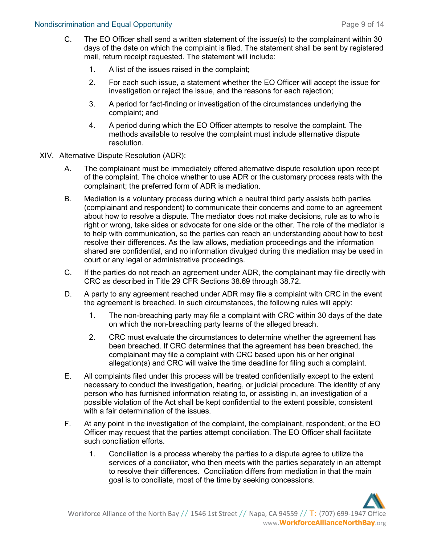- C. The EO Officer shall send a written statement of the issue(s) to the complainant within 30 days of the date on which the complaint is filed. The statement shall be sent by registered mail, return receipt requested. The statement will include:
	- 1. A list of the issues raised in the complaint;
	- 2. For each such issue, a statement whether the EO Officer will accept the issue for investigation or reject the issue, and the reasons for each rejection;
	- 3. A period for fact-finding or investigation of the circumstances underlying the complaint; and
	- 4. A period during which the EO Officer attempts to resolve the complaint. The methods available to resolve the complaint must include alternative dispute resolution.
- XIV. Alternative Dispute Resolution (ADR):
	- A. The complainant must be immediately offered alternative dispute resolution upon receipt of the complaint. The choice whether to use ADR or the customary process rests with the complainant; the preferred form of ADR is mediation.
	- B. Mediation is a voluntary process during which a neutral third party assists both parties (complainant and respondent) to communicate their concerns and come to an agreement about how to resolve a dispute. The mediator does not make decisions, rule as to who is right or wrong, take sides or advocate for one side or the other. The role of the mediator is to help with communication, so the parties can reach an understanding about how to best resolve their differences. As the law allows, mediation proceedings and the information shared are confidential, and no information divulged during this mediation may be used in court or any legal or administrative proceedings.
	- C. If the parties do not reach an agreement under ADR, the complainant may file directly with CRC as described in Title 29 CFR Sections 38.69 through 38.72.
	- D. A party to any agreement reached under ADR may file a complaint with CRC in the event the agreement is breached. In such circumstances, the following rules will apply:
		- 1. The non-breaching party may file a complaint with CRC within 30 days of the date on which the non-breaching party learns of the alleged breach.
		- 2. CRC must evaluate the circumstances to determine whether the agreement has been breached. If CRC determines that the agreement has been breached, the complainant may file a complaint with CRC based upon his or her original allegation(s) and CRC will waive the time deadline for filing such a complaint.
	- E. All complaints filed under this process will be treated confidentially except to the extent necessary to conduct the investigation, hearing, or judicial procedure. The identity of any person who has furnished information relating to, or assisting in, an investigation of a possible violation of the Act shall be kept confidential to the extent possible, consistent with a fair determination of the issues.
	- F. At any point in the investigation of the complaint, the complainant, respondent, or the EO Officer may request that the parties attempt conciliation. The EO Officer shall facilitate such conciliation efforts.
		- 1. Conciliation is a process whereby the parties to a dispute agree to utilize the services of a conciliator, who then meets with the parties separately in an attempt to resolve their differences. Conciliation differs from mediation in that the main goal is to conciliate, most of the time by seeking concessions.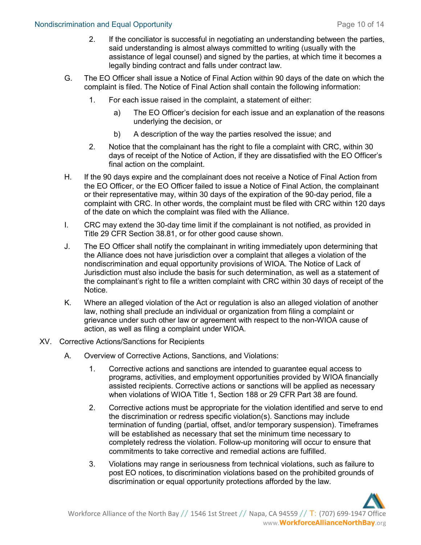#### Nondiscrimination and Equal Opportunity **Page 10 of 14** and 14 and 15 and 16 and 16 and 16 and 16 and 16 and 16 and 16 and 16 and 16 and 16 and 16 and 16 and 16 and 16 and 16 and 16 and 16 and 16 and 16 and 16 and 16 and 1

- 2. If the conciliator is successful in negotiating an understanding between the parties, said understanding is almost always committed to writing (usually with the assistance of legal counsel) and signed by the parties, at which time it becomes a legally binding contract and falls under contract law.
- G. The EO Officer shall issue a Notice of Final Action within 90 days of the date on which the complaint is filed. The Notice of Final Action shall contain the following information:
	- 1. For each issue raised in the complaint, a statement of either:
		- a) The EO Officer's decision for each issue and an explanation of the reasons underlying the decision, or
		- b) A description of the way the parties resolved the issue; and
	- 2. Notice that the complainant has the right to file a complaint with CRC, within 30 days of receipt of the Notice of Action, if they are dissatisfied with the EO Officer's final action on the complaint.
- H. If the 90 days expire and the complainant does not receive a Notice of Final Action from the EO Officer, or the EO Officer failed to issue a Notice of Final Action, the complainant or their representative may, within 30 days of the expiration of the 90-day period, file a complaint with CRC. In other words, the complaint must be filed with CRC within 120 days of the date on which the complaint was filed with the Alliance.
- I. CRC may extend the 30-day time limit if the complainant is not notified, as provided in Title 29 CFR Section 38.81, or for other good cause shown.
- J. The EO Officer shall notify the complainant in writing immediately upon determining that the Alliance does not have jurisdiction over a complaint that alleges a violation of the nondiscrimination and equal opportunity provisions of WIOA. The Notice of Lack of Jurisdiction must also include the basis for such determination, as well as a statement of the complainant's right to file a written complaint with CRC within 30 days of receipt of the Notice.
- K. Where an alleged violation of the Act or regulation is also an alleged violation of another law, nothing shall preclude an individual or organization from filing a complaint or grievance under such other law or agreement with respect to the non-WIOA cause of action, as well as filing a complaint under WIOA.
- XV. Corrective Actions/Sanctions for Recipients
	- A. Overview of Corrective Actions, Sanctions, and Violations:
		- 1. Corrective actions and sanctions are intended to guarantee equal access to programs, activities, and employment opportunities provided by WIOA financially assisted recipients. Corrective actions or sanctions will be applied as necessary when violations of WIOA Title 1, Section 188 or 29 CFR Part 38 are found.
		- 2. Corrective actions must be appropriate for the violation identified and serve to end the discrimination or redress specific violation(s). Sanctions may include termination of funding (partial, offset, and/or temporary suspension). Timeframes will be established as necessary that set the minimum time necessary to completely redress the violation. Follow-up monitoring will occur to ensure that commitments to take corrective and remedial actions are fulfilled.
		- 3. Violations may range in seriousness from technical violations, such as failure to post EO notices, to discrimination violations based on the prohibited grounds of discrimination or equal opportunity protections afforded by the law.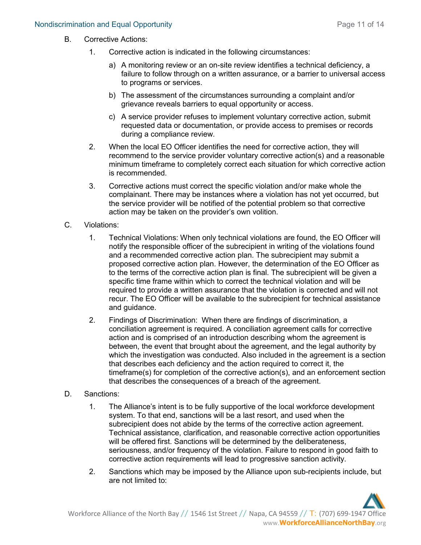- B. Corrective Actions:
	- 1. Corrective action is indicated in the following circumstances:
		- a) A monitoring review or an on-site review identifies a technical deficiency, a failure to follow through on a written assurance, or a barrier to universal access to programs or services.
		- b) The assessment of the circumstances surrounding a complaint and/or grievance reveals barriers to equal opportunity or access.
		- c) A service provider refuses to implement voluntary corrective action, submit requested data or documentation, or provide access to premises or records during a compliance review.
	- 2. When the local EO Officer identifies the need for corrective action, they will recommend to the service provider voluntary corrective action(s) and a reasonable minimum timeframe to completely correct each situation for which corrective action is recommended.
	- 3. Corrective actions must correct the specific violation and/or make whole the complainant. There may be instances where a violation has not yet occurred, but the service provider will be notified of the potential problem so that corrective action may be taken on the provider's own volition.
- C. Violations:
	- 1. Technical Violations: When only technical violations are found, the EO Officer will notify the responsible officer of the subrecipient in writing of the violations found and a recommended corrective action plan. The subrecipient may submit a proposed corrective action plan. However, the determination of the EO Officer as to the terms of the corrective action plan is final. The subrecipient will be given a specific time frame within which to correct the technical violation and will be required to provide a written assurance that the violation is corrected and will not recur. The EO Officer will be available to the subrecipient for technical assistance and guidance.
	- 2. Findings of Discrimination: When there are findings of discrimination, a conciliation agreement is required. A conciliation agreement calls for corrective action and is comprised of an introduction describing whom the agreement is between, the event that brought about the agreement, and the legal authority by which the investigation was conducted. Also included in the agreement is a section that describes each deficiency and the action required to correct it, the timeframe(s) for completion of the corrective action(s), and an enforcement section that describes the consequences of a breach of the agreement.
- D. Sanctions:
	- 1. The Alliance's intent is to be fully supportive of the local workforce development system. To that end, sanctions will be a last resort, and used when the subrecipient does not abide by the terms of the corrective action agreement. Technical assistance, clarification, and reasonable corrective action opportunities will be offered first. Sanctions will be determined by the deliberateness, seriousness, and/or frequency of the violation. Failure to respond in good faith to corrective action requirements will lead to progressive sanction activity.
	- 2. Sanctions which may be imposed by the Alliance upon sub-recipients include, but are not limited to: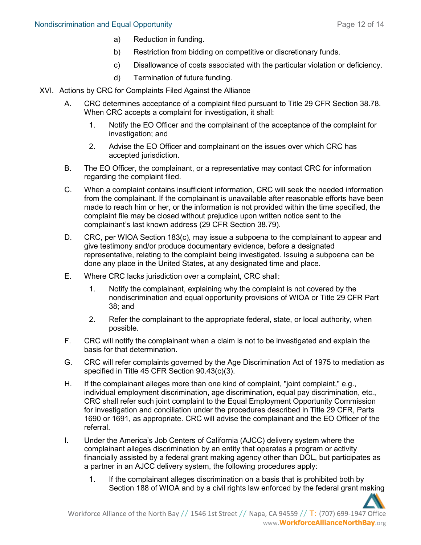#### Nondiscrimination and Equal Opportunity **Page 12 of 14** and 14 and 14 and 14 and 14 and 14 and 14 and 14 and 14 and 14 and 14 and 14 and 14 and 14 and 14 and 14 and 14 and 14 and 14 and 14 and 15 and 16 and 16 and 16 and 1

- a) Reduction in funding.
- b) Restriction from bidding on competitive or discretionary funds.
- c) Disallowance of costs associated with the particular violation or deficiency.
- d) Termination of future funding.
- XVI. Actions by CRC for Complaints Filed Against the Alliance
	- A. CRC determines acceptance of a complaint filed pursuant to Title 29 CFR Section 38.78. When CRC accepts a complaint for investigation, it shall:
		- 1. Notify the EO Officer and the complainant of the acceptance of the complaint for investigation; and
		- 2. Advise the EO Officer and complainant on the issues over which CRC has accepted jurisdiction.
	- B. The EO Officer, the complainant, or a representative may contact CRC for information regarding the complaint filed.
	- C. When a complaint contains insufficient information, CRC will seek the needed information from the complainant. If the complainant is unavailable after reasonable efforts have been made to reach him or her, or the information is not provided within the time specified, the complaint file may be closed without prejudice upon written notice sent to the complainant's last known address (29 CFR Section 38.79).
	- D. CRC, per WIOA Section 183(c), may issue a subpoena to the complainant to appear and give testimony and/or produce documentary evidence, before a designated representative, relating to the complaint being investigated. Issuing a subpoena can be done any place in the United States, at any designated time and place.
	- E. Where CRC lacks jurisdiction over a complaint, CRC shall:
		- 1. Notify the complainant, explaining why the complaint is not covered by the nondiscrimination and equal opportunity provisions of WIOA or Title 29 CFR Part 38; and
		- 2. Refer the complainant to the appropriate federal, state, or local authority, when possible.
	- F. CRC will notify the complainant when a claim is not to be investigated and explain the basis for that determination.
	- G. CRC will refer complaints governed by the Age Discrimination Act of 1975 to mediation as specified in Title 45 CFR Section 90.43(c)(3).
	- H. If the complainant alleges more than one kind of complaint, "joint complaint," e.g., individual employment discrimination, age discrimination, equal pay discrimination, etc., CRC shall refer such joint complaint to the Equal Employment Opportunity Commission for investigation and conciliation under the procedures described in Title 29 CFR, Parts 1690 or 1691, as appropriate. CRC will advise the complainant and the EO Officer of the referral.
	- I. Under the America's Job Centers of California (AJCC) delivery system where the complainant alleges discrimination by an entity that operates a program or activity financially assisted by a federal grant making agency other than DOL, but participates as a partner in an AJCC delivery system, the following procedures apply:
		- 1. If the complainant alleges discrimination on a basis that is prohibited both by Section 188 of WIOA and by a civil rights law enforced by the federal grant making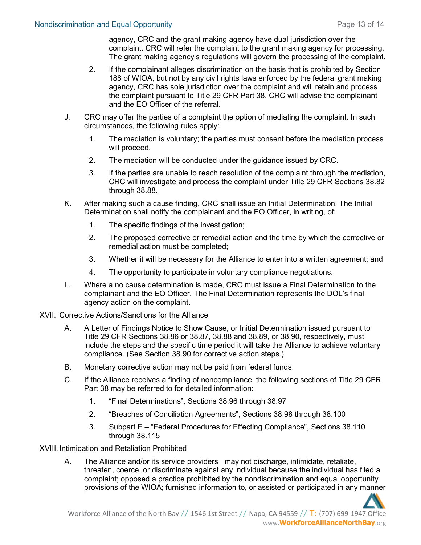agency, CRC and the grant making agency have dual jurisdiction over the complaint. CRC will refer the complaint to the grant making agency for processing. The grant making agency's regulations will govern the processing of the complaint.

- 2. If the complainant alleges discrimination on the basis that is prohibited by Section 188 of WIOA, but not by any civil rights laws enforced by the federal grant making agency, CRC has sole jurisdiction over the complaint and will retain and process the complaint pursuant to Title 29 CFR Part 38. CRC will advise the complainant and the EO Officer of the referral.
- J. CRC may offer the parties of a complaint the option of mediating the complaint. In such circumstances, the following rules apply:
	- 1. The mediation is voluntary; the parties must consent before the mediation process will proceed.
	- 2. The mediation will be conducted under the guidance issued by CRC.
	- 3. If the parties are unable to reach resolution of the complaint through the mediation, CRC will investigate and process the complaint under Title 29 CFR Sections 38.82 through 38.88.
- K. After making such a cause finding, CRC shall issue an Initial Determination. The Initial Determination shall notify the complainant and the EO Officer, in writing, of:
	- 1. The specific findings of the investigation;
	- 2. The proposed corrective or remedial action and the time by which the corrective or remedial action must be completed;
	- 3. Whether it will be necessary for the Alliance to enter into a written agreement; and
	- 4. The opportunity to participate in voluntary compliance negotiations.
- L. Where a no cause determination is made, CRC must issue a Final Determination to the complainant and the EO Officer. The Final Determination represents the DOL's final agency action on the complaint.
- XVII. Corrective Actions/Sanctions for the Alliance
	- A. A Letter of Findings Notice to Show Cause, or Initial Determination issued pursuant to Title 29 CFR Sections 38.86 or 38.87, 38.88 and 38.89, or 38.90, respectively, must include the steps and the specific time period it will take the Alliance to achieve voluntary compliance. (See Section 38.90 for corrective action steps.)
	- B. Monetary corrective action may not be paid from federal funds.
	- C. If the Alliance receives a finding of noncompliance, the following sections of Title 29 CFR Part 38 may be referred to for detailed information:
		- 1. "Final Determinations", Sections 38.96 through 38.97
		- 2. "Breaches of Conciliation Agreements", Sections 38.98 through 38.100
		- 3. Subpart E "Federal Procedures for Effecting Compliance", Sections 38.110 through 38.115

XVIII. Intimidation and Retaliation Prohibited

A. The Alliance and/or its service providers may not discharge, intimidate, retaliate, threaten, coerce, or discriminate against any individual because the individual has filed a complaint; opposed a practice prohibited by the nondiscrimination and equal opportunity provisions of the WIOA; furnished information to, or assisted or participated in any manner